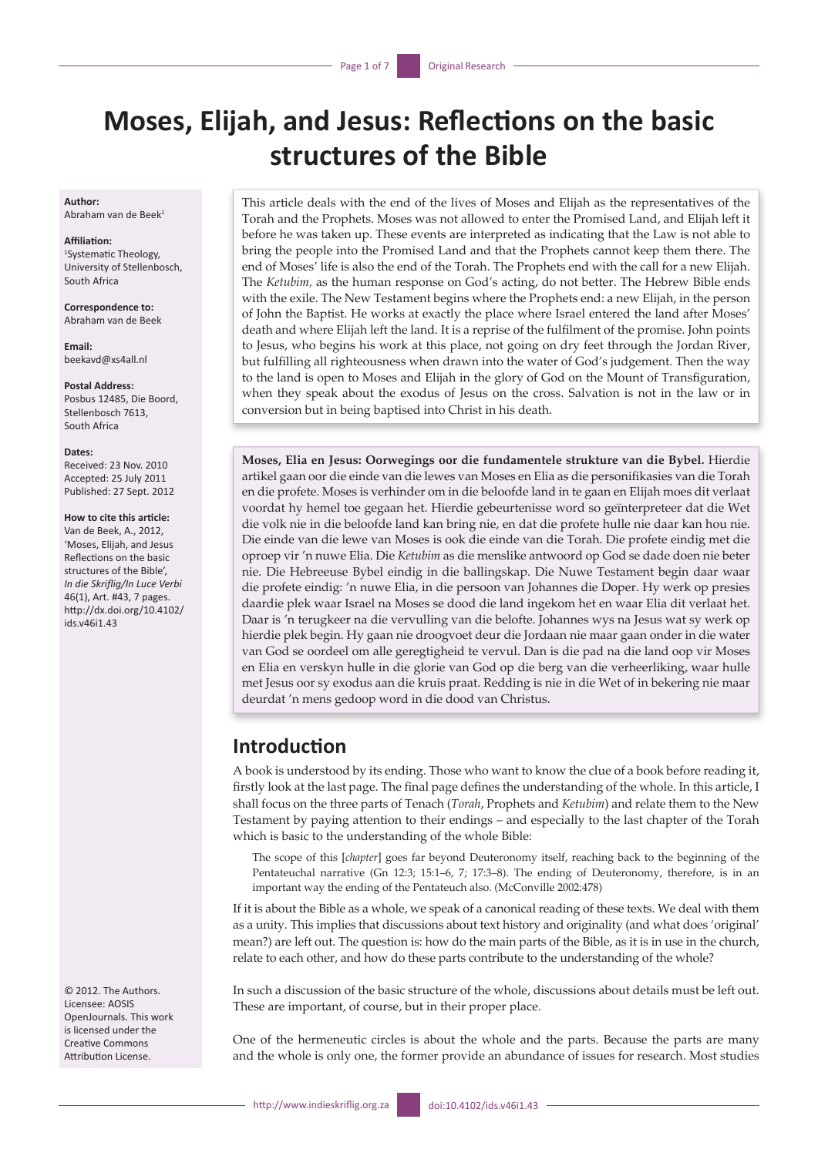# **Moses, Elijah, and Jesus: Reflections on the basic structures of the Bible**

**Author:** Abraham van de Beek<sup>1</sup>

#### **Affiliation:** 1 Systematic Theology, University of Stellenbosch, South Africa

**Correspondence to:** Abraham van de Beek

**Email:** [beekavd@xs4all.nl](mailto:beekavd@xs4all.nl)

**Postal Address:** Posbus 12485, Die Boord, Stellenbosch 7613, South Africa

#### **Dates:**

Received: 23 Nov. 2010 Accepted: 25 July 2011 Published: 27 Sept. 2012

#### **How to cite this article:**

Van de Beek, A., 2012, 'Moses, Elijah, and Jesus Reflections on the basic structures of the Bible', *In die Skriflig/In Luce Verbi* 46(1), Art. #43, 7 pages. [http://dx.doi.org/10.4102/](http://dx.doi.org/10.4102/ids.v46i1/2.43) [ids.v46i1.43](http://dx.doi.org/10.4102/ids.v46i1/2.43)

© 2012. The Authors. Licensee: AOSIS OpenJournals. This work is licensed under the Creative Commons Attribution License.

This article deals with the end of the lives of Moses and Elijah as the representatives of the Torah and the Prophets. Moses was not allowed to enter the Promised Land, and Elijah left it before he was taken up. These events are interpreted as indicating that the Law is not able to bring the people into the Promised Land and that the Prophets cannot keep them there. The end of Moses' life is also the end of the Torah. The Prophets end with the call for a new Elijah. The *Ketubim,* as the human response on God's acting, do not better. The Hebrew Bible ends with the exile. The New Testament begins where the Prophets end: a new Elijah, in the person of John the Baptist. He works at exactly the place where Israel entered the land after Moses' death and where Elijah left the land. It is a reprise of the fulfilment of the promise. John points to Jesus, who begins his work at this place, not going on dry feet through the Jordan River, but fulfilling all righteousness when drawn into the water of God's judgement. Then the way to the land is open to Moses and Elijah in the glory of God on the Mount of Transfiguration, when they speak about the exodus of Jesus on the cross. Salvation is not in the law or in conversion but in being baptised into Christ in his death.

**Moses, Elia en Jesus: Oorwegings oor die fundamentele strukture van die Bybel.** Hierdie artikel gaan oor die einde van die lewes van Moses en Elia as die personifikasies van die Torah en die profete. Moses is verhinder om in die beloofde land in te gaan en Elijah moes dit verlaat voordat hy hemel toe gegaan het. Hierdie gebeurtenisse word so geïnterpreteer dat die Wet die volk nie in die beloofde land kan bring nie, en dat die profete hulle nie daar kan hou nie. Die einde van die lewe van Moses is ook die einde van die Torah. Die profete eindig met die oproep vir 'n nuwe Elia. Die *Ketubim* as die menslike antwoord op God se dade doen nie beter nie. Die Hebreeuse Bybel eindig in die ballingskap. Die Nuwe Testament begin daar waar die profete eindig: 'n nuwe Elia, in die persoon van Johannes die Doper. Hy werk op presies daardie plek waar Israel na Moses se dood die land ingekom het en waar Elia dit verlaat het. Daar is 'n terugkeer na die vervulling van die belofte. Johannes wys na Jesus wat sy werk op hierdie plek begin. Hy gaan nie droogvoet deur die Jordaan nie maar gaan onder in die water van God se oordeel om alle geregtigheid te vervul. Dan is die pad na die land oop vir Moses en Elia en verskyn hulle in die glorie van God op die berg van die verheerliking, waar hulle met Jesus oor sy exodus aan die kruis praat. Redding is nie in die Wet of in bekering nie maar deurdat 'n mens gedoop word in die dood van Christus.

## **Introduction**

A book is understood by its ending. Those who want to know the clue of a book before reading it, firstly look at the last page. The final page defines the understanding of the whole. In this article, I shall focus on the three parts of Tenach (*Torah*, Prophets and *Ketubim*) and relate them to the New Testament by paying attention to their endings – and especially to the last chapter of the Torah which is basic to the understanding of the whole Bible:

The scope of this [*chapter*] goes far beyond Deuteronomy itself, reaching back to the beginning of the Pentateuchal narrative (Gn 12:3; 15:1–6, 7; 17:3–8). The ending of Deuteronomy, therefore, is in an important way the ending of the Pentateuch also. (McConville 2002:478)

If it is about the Bible as a whole, we speak of a canonical reading of these texts. We deal with them as a unity. This implies that discussions about text history and originality (and what does 'original' mean?) are left out. The question is: how do the main parts of the Bible, as it is in use in the church, relate to each other, and how do these parts contribute to the understanding of the whole?

In such a discussion of the basic structure of the whole, discussions about details must be left out. These are important, of course, but in their proper place.

One of the hermeneutic circles is about the whole and the parts. Because the parts are many and the whole is only one, the former provide an abundance of issues for research. Most studies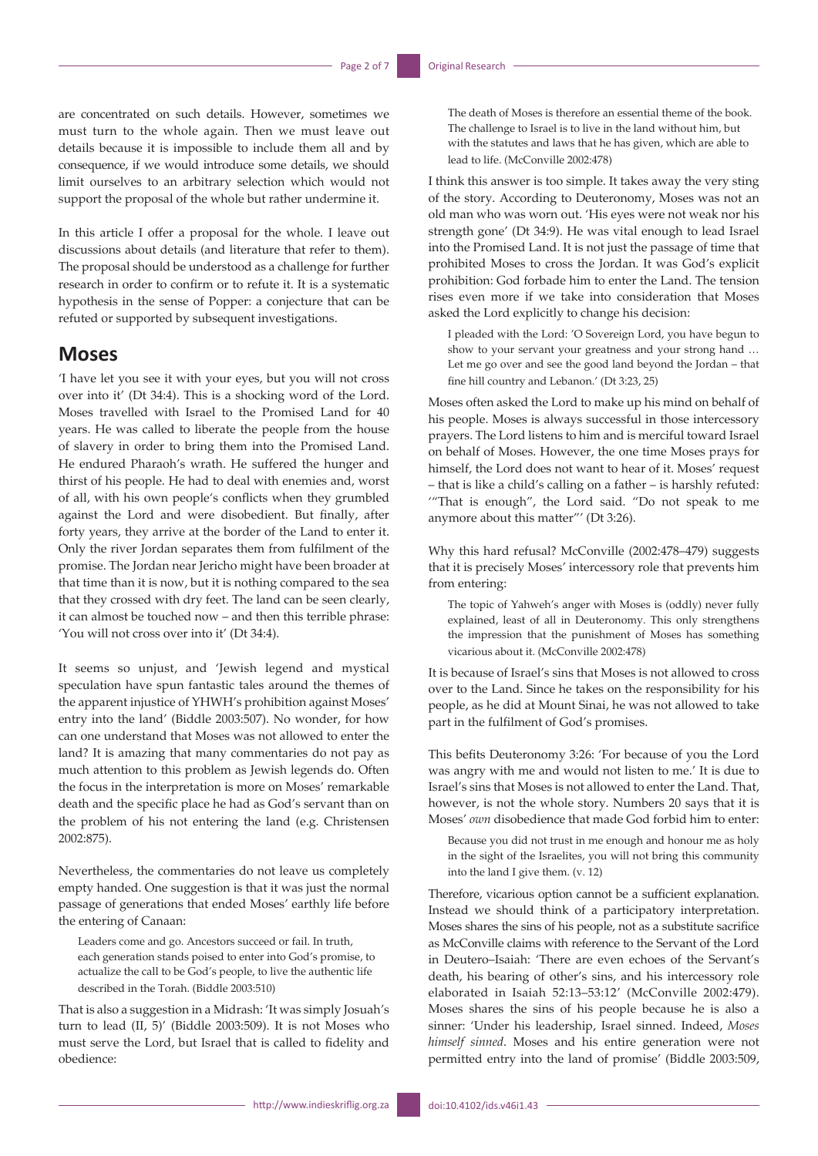are concentrated on such details. However, sometimes we must turn to the whole again. Then we must leave out details because it is impossible to include them all and by consequence, if we would introduce some details, we should limit ourselves to an arbitrary selection which would not support the proposal of the whole but rather undermine it.

In this article I offer a proposal for the whole. I leave out discussions about details (and literature that refer to them). The proposal should be understood as a challenge for further research in order to confirm or to refute it. It is a systematic hypothesis in the sense of Popper: a conjecture that can be refuted or supported by subsequent investigations.

#### **Moses**

'I have let you see it with your eyes, but you will not cross over into it' (Dt 34:4). This is a shocking word of the Lord. Moses travelled with Israel to the Promised Land for 40 years. He was called to liberate the people from the house of slavery in order to bring them into the Promised Land. He endured Pharaoh's wrath. He suffered the hunger and thirst of his people. He had to deal with enemies and, worst of all, with his own people's conflicts when they grumbled against the Lord and were disobedient. But finally, after forty years, they arrive at the border of the Land to enter it. Only the river Jordan separates them from fulfilment of the promise. The Jordan near Jericho might have been broader at that time than it is now, but it is nothing compared to the sea that they crossed with dry feet. The land can be seen clearly, it can almost be touched now – and then this terrible phrase: 'You will not cross over into it' (Dt 34:4).

It seems so unjust, and 'Jewish legend and mystical speculation have spun fantastic tales around the themes of the apparent injustice of YHWH's prohibition against Moses' entry into the land' (Biddle 2003:507). No wonder, for how can one understand that Moses was not allowed to enter the land? It is amazing that many commentaries do not pay as much attention to this problem as Jewish legends do. Often the focus in the interpretation is more on Moses' remarkable death and the specific place he had as God's servant than on the problem of his not entering the land (e.g. Christensen 2002:875).

Nevertheless, the commentaries do not leave us completely empty handed. One suggestion is that it was just the normal passage of generations that ended Moses' earthly life before the entering of Canaan:

Leaders come and go. Ancestors succeed or fail. In truth, each generation stands poised to enter into God's promise, to actualize the call to be God's people, to live the authentic life described in the Torah. (Biddle 2003:510)

That is also a suggestion in a Midrash: 'It was simply Josuah's turn to lead (II, 5)' (Biddle 2003:509). It is not Moses who must serve the Lord, but Israel that is called to fidelity and obedience:

The death of Moses is therefore an essential theme of the book. The challenge to Israel is to live in the land without him, but with the statutes and laws that he has given, which are able to lead to life. (McConville 2002:478)

I think this answer is too simple. It takes away the very sting of the story. According to Deuteronomy, Moses was not an old man who was worn out. 'His eyes were not weak nor his strength gone' (Dt 34:9). He was vital enough to lead Israel into the Promised Land. It is not just the passage of time that prohibited Moses to cross the Jordan. It was God's explicit prohibition: God forbade him to enter the Land. The tension rises even more if we take into consideration that Moses asked the Lord explicitly to change his decision:

I pleaded with the Lord: 'O Sovereign Lord, you have begun to show to your servant your greatness and your strong hand … Let me go over and see the good land beyond the Jordan – that fine hill country and Lebanon.' (Dt 3:23, 25)

Moses often asked the Lord to make up his mind on behalf of his people. Moses is always successful in those intercessory prayers. The Lord listens to him and is merciful toward Israel on behalf of Moses. However, the one time Moses prays for himself, the Lord does not want to hear of it. Moses' request – that is like a child's calling on a father – is harshly refuted: '"That is enough", the Lord said. "Do not speak to me anymore about this matter"' (Dt 3:26).

Why this hard refusal? McConville (2002:478–479) suggests that it is precisely Moses' intercessory role that prevents him from entering:

The topic of Yahweh's anger with Moses is (oddly) never fully explained, least of all in Deuteronomy. This only strengthens the impression that the punishment of Moses has something vicarious about it. (McConville 2002:478)

It is because of Israel's sins that Moses is not allowed to cross over to the Land. Since he takes on the responsibility for his people, as he did at Mount Sinai, he was not allowed to take part in the fulfilment of God's promises.

This befits Deuteronomy 3:26: 'For because of you the Lord was angry with me and would not listen to me.' It is due to Israel's sins that Moses is not allowed to enter the Land. That, however, is not the whole story. Numbers 20 says that it is Moses' *own* disobedience that made God forbid him to enter:

Because you did not trust in me enough and honour me as holy in the sight of the Israelites, you will not bring this community into the land I give them. (v. 12)

Therefore, vicarious option cannot be a sufficient explanation. Instead we should think of a participatory interpretation. Moses shares the sins of his people, not as a substitute sacrifice as McConville claims with reference to the Servant of the Lord in Deutero–Isaiah: 'There are even echoes of the Servant's death, his bearing of other's sins, and his intercessory role elaborated in Isaiah 52:13–53:12' (McConville 2002:479). Moses shares the sins of his people because he is also a sinner: 'Under his leadership, Israel sinned. Indeed, *Moses himself sinned*. Moses and his entire generation were not permitted entry into the land of promise' (Biddle 2003:509,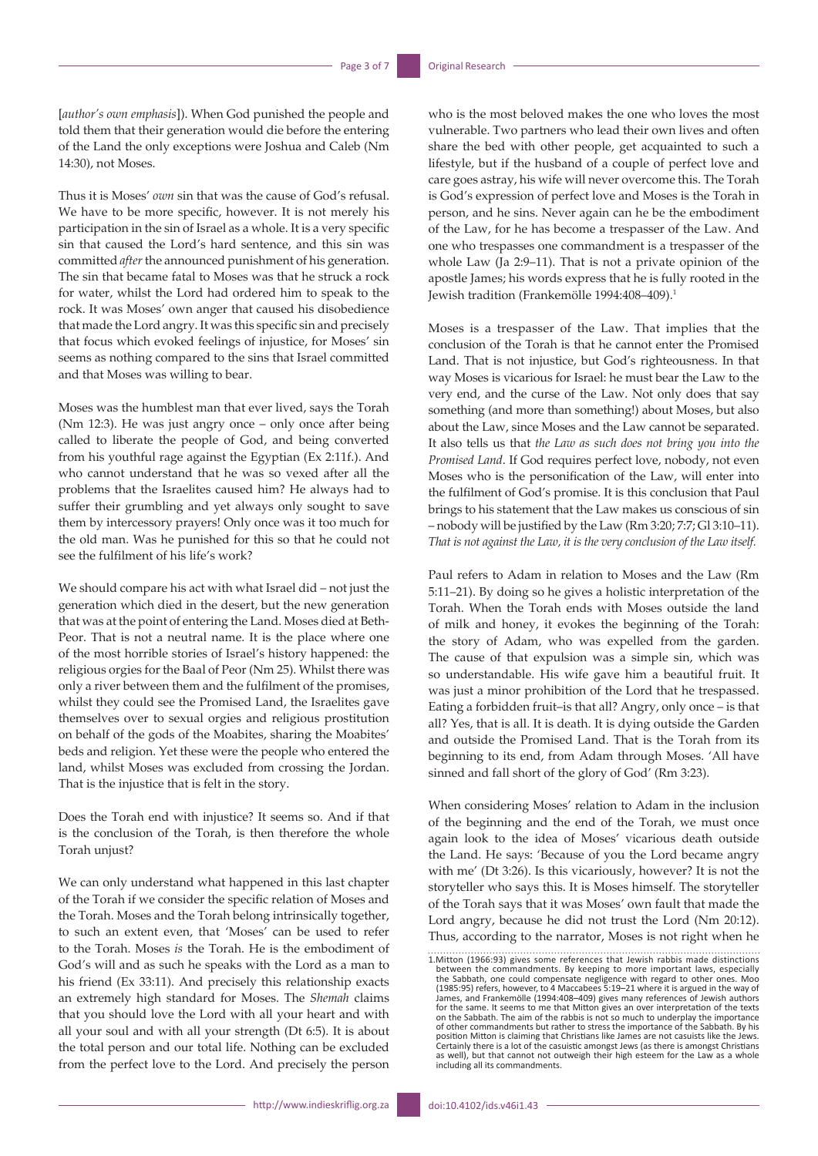[*author's own emphasis*]). When God punished the people and told them that their generation would die before the entering of the Land the only exceptions were Joshua and Caleb (Nm 14:30), not Moses.

Thus it is Moses' *own* sin that was the cause of God's refusal. We have to be more specific, however. It is not merely his participation in the sin of Israel as a whole. It is a very specific sin that caused the Lord's hard sentence, and this sin was committed *after* the announced punishment of his generation. The sin that became fatal to Moses was that he struck a rock for water, whilst the Lord had ordered him to speak to the rock. It was Moses' own anger that caused his disobedience that made the Lord angry. It was this specific sin and precisely that focus which evoked feelings of injustice, for Moses' sin seems as nothing compared to the sins that Israel committed and that Moses was willing to bear.

Moses was the humblest man that ever lived, says the Torah (Nm 12:3). He was just angry once – only once after being called to liberate the people of God, and being converted from his youthful rage against the Egyptian (Ex 2:11f.). And who cannot understand that he was so vexed after all the problems that the Israelites caused him? He always had to suffer their grumbling and yet always only sought to save them by intercessory prayers! Only once was it too much for the old man. Was he punished for this so that he could not see the fulfilment of his life's work?

We should compare his act with what Israel did – not just the generation which died in the desert, but the new generation that was at the point of entering the Land. Moses died at Beth-Peor. That is not a neutral name. It is the place where one of the most horrible stories of Israel's history happened: the religious orgies for the Baal of Peor (Nm 25). Whilst there was only a river between them and the fulfilment of the promises, whilst they could see the Promised Land, the Israelites gave themselves over to sexual orgies and religious prostitution on behalf of the gods of the Moabites, sharing the Moabites' beds and religion. Yet these were the people who entered the land, whilst Moses was excluded from crossing the Jordan. That is the injustice that is felt in the story.

Does the Torah end with injustice? It seems so. And if that is the conclusion of the Torah, is then therefore the whole Torah unjust?

We can only understand what happened in this last chapter of the Torah if we consider the specific relation of Moses and the Torah. Moses and the Torah belong intrinsically together, to such an extent even, that 'Moses' can be used to refer to the Torah. Moses *is* the Torah. He is the embodiment of God's will and as such he speaks with the Lord as a man to his friend (Ex 33:11). And precisely this relationship exacts an extremely high standard for Moses. The *Shemah* claims that you should love the Lord with all your heart and with all your soul and with all your strength (Dt 6:5). It is about the total person and our total life. Nothing can be excluded from the perfect love to the Lord. And precisely the person who is the most beloved makes the one who loves the most vulnerable. Two partners who lead their own lives and often share the bed with other people, get acquainted to such a lifestyle, but if the husband of a couple of perfect love and care goes astray, his wife will never overcome this. The Torah is God's expression of perfect love and Moses is the Torah in person, and he sins. Never again can he be the embodiment of the Law, for he has become a trespasser of the Law. And one who trespasses one commandment is a trespasser of the whole Law (Ja 2:9–11). That is not a private opinion of the apostle James; his words express that he is fully rooted in the Jewish tradition (Frankemölle 1994:408-409).<sup>1</sup>

Moses is a trespasser of the Law. That implies that the conclusion of the Torah is that he cannot enter the Promised Land. That is not injustice, but God's righteousness. In that way Moses is vicarious for Israel: he must bear the Law to the very end, and the curse of the Law. Not only does that say something (and more than something!) about Moses, but also about the Law, since Moses and the Law cannot be separated. It also tells us that *the Law as such does not bring you into the Promised Land*. If God requires perfect love, nobody, not even Moses who is the personification of the Law, will enter into the fulfilment of God's promise. It is this conclusion that Paul brings to his statement that the Law makes us conscious of sin – nobody will be justified by the Law (Rm 3:20; 7:7; Gl 3:10–11). *That is not against the Law, it is the very conclusion of the Law itself.*

Paul refers to Adam in relation to Moses and the Law (Rm 5:11–21). By doing so he gives a holistic interpretation of the Torah. When the Torah ends with Moses outside the land of milk and honey, it evokes the beginning of the Torah: the story of Adam, who was expelled from the garden. The cause of that expulsion was a simple sin, which was so understandable. His wife gave him a beautiful fruit. It was just a minor prohibition of the Lord that he trespassed. Eating a forbidden fruit–is that all? Angry, only once – is that all? Yes, that is all. It is death. It is dying outside the Garden and outside the Promised Land. That is the Torah from its beginning to its end, from Adam through Moses. 'All have sinned and fall short of the glory of God' (Rm 3:23).

When considering Moses' relation to Adam in the inclusion of the beginning and the end of the Torah, we must once again look to the idea of Moses' vicarious death outside the Land. He says: 'Because of you the Lord became angry with me' (Dt 3:26). Is this vicariously, however? It is not the storyteller who says this. It is Moses himself. The storyteller of the Torah says that it was Moses' own fault that made the Lord angry, because he did not trust the Lord (Nm 20:12). Thus, according to the narrator, Moses is not right when he

<sup>1.</sup>Mitton (1966:93) gives some references that Jewish rabbis made distinctions between the commandments. By keeping to more important laws, especially<br>the Sabbath, one could compensate negligence with regard to other ones. Moo<br>(1985:95) refers, however, to 4 Maccabees 5:19–21 where it is argued in th for the same. It seems to me that Mitton gives an over interpretation of the texts on the Sabbath. The aim of the rabbis is not so much to underplay the importance of other commandments but rather to stress the importance of the Sabbath. By his<br>position Mitton is claiming that Christians like James are not casuists like the Jews.<br>Certainly there is a lot of the casuistic amongst Jews as well), but that cannot not outweigh their high esteem for the Law as a whole including all its commandments.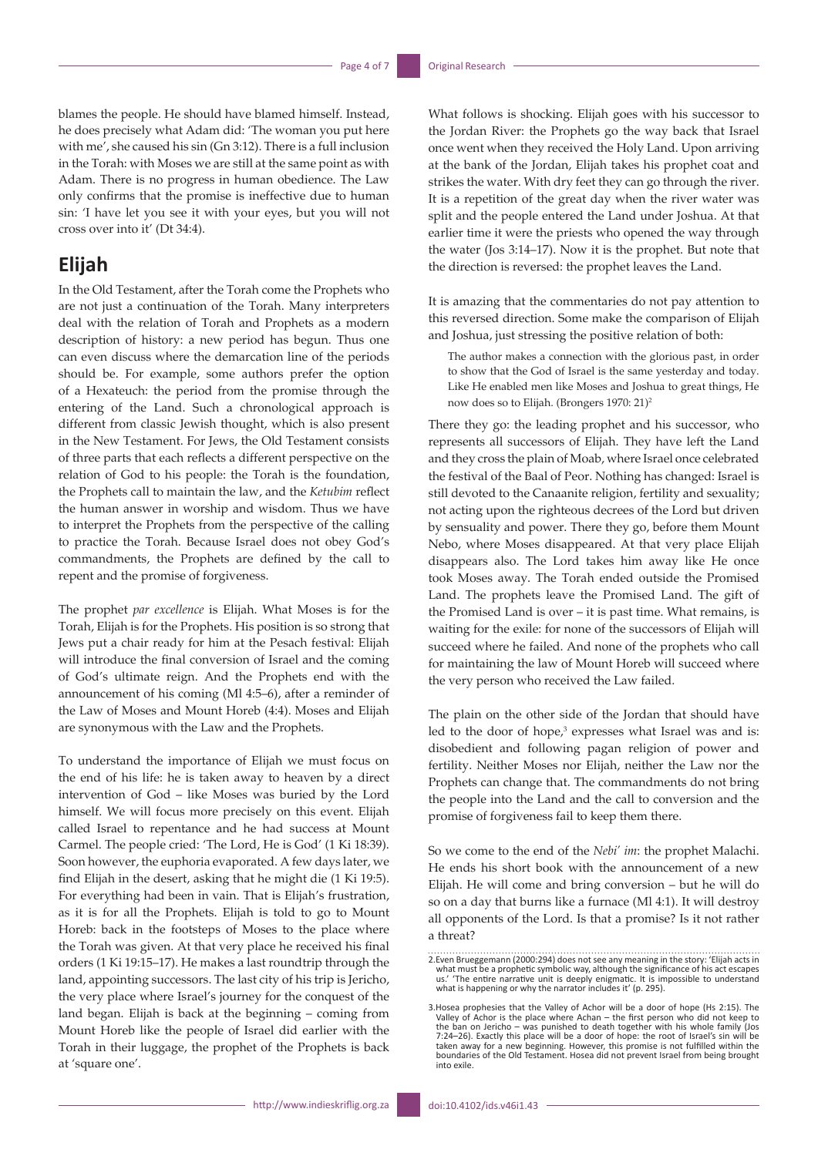blames the people. He should have blamed himself. Instead, he does precisely what Adam did: 'The woman you put here with me', she caused his sin (Gn 3:12). There is a full inclusion in the Torah: with Moses we are still at the same point as with Adam. There is no progress in human obedience. The Law only confirms that the promise is ineffective due to human sin: 'I have let you see it with your eyes, but you will not cross over into it' (Dt 34:4).

# **Elijah**

In the Old Testament, after the Torah come the Prophets who are not just a continuation of the Torah. Many interpreters deal with the relation of Torah and Prophets as a modern description of history: a new period has begun. Thus one can even discuss where the demarcation line of the periods should be. For example, some authors prefer the option of a Hexateuch: the period from the promise through the entering of the Land. Such a chronological approach is different from classic Jewish thought, which is also present in the New Testament. For Jews, the Old Testament consists of three parts that each reflects a different perspective on the relation of God to his people: the Torah is the foundation, the Prophets call to maintain the law, and the *Ketubim* reflect the human answer in worship and wisdom. Thus we have to interpret the Prophets from the perspective of the calling to practice the Torah. Because Israel does not obey God's commandments, the Prophets are defined by the call to repent and the promise of forgiveness.

The prophet *par excellence* is Elijah. What Moses is for the Torah, Elijah is for the Prophets. His position is so strong that Jews put a chair ready for him at the Pesach festival: Elijah will introduce the final conversion of Israel and the coming of God's ultimate reign. And the Prophets end with the announcement of his coming (Ml 4:5–6), after a reminder of the Law of Moses and Mount Horeb (4:4). Moses and Elijah are synonymous with the Law and the Prophets.

To understand the importance of Elijah we must focus on the end of his life: he is taken away to heaven by a direct intervention of God – like Moses was buried by the Lord himself. We will focus more precisely on this event. Elijah called Israel to repentance and he had success at Mount Carmel. The people cried: 'The Lord, He is God' (1 Ki 18:39). Soon however, the euphoria evaporated. A few days later, we find Elijah in the desert, asking that he might die (1 Ki 19:5). For everything had been in vain. That is Elijah's frustration, as it is for all the Prophets. Elijah is told to go to Mount Horeb: back in the footsteps of Moses to the place where the Torah was given. At that very place he received his final orders (1 Ki 19:15–17). He makes a last roundtrip through the land, appointing successors. The last city of his trip is Jericho, the very place where Israel's journey for the conquest of the land began. Elijah is back at the beginning – coming from Mount Horeb like the people of Israel did earlier with the Torah in their luggage, the prophet of the Prophets is back at 'square one'.

What follows is shocking. Elijah goes with his successor to the Jordan River: the Prophets go the way back that Israel once went when they received the Holy Land. Upon arriving at the bank of the Jordan, Elijah takes his prophet coat and strikes the water. With dry feet they can go through the river. It is a repetition of the great day when the river water was split and the people entered the Land under Joshua. At that earlier time it were the priests who opened the way through the water (Jos 3:14–17). Now it is the prophet. But note that the direction is reversed: the prophet leaves the Land.

It is amazing that the commentaries do not pay attention to this reversed direction. Some make the comparison of Elijah and Joshua, just stressing the positive relation of both:

The author makes a connection with the glorious past, in order to show that the God of Israel is the same yesterday and today. Like He enabled men like Moses and Joshua to great things, He now does so to Elijah. (Brongers 1970: 21)<sup>2</sup>

There they go: the leading prophet and his successor, who represents all successors of Elijah. They have left the Land and they cross the plain of Moab, where Israel once celebrated the festival of the Baal of Peor. Nothing has changed: Israel is still devoted to the Canaanite religion, fertility and sexuality; not acting upon the righteous decrees of the Lord but driven by sensuality and power. There they go, before them Mount Nebo, where Moses disappeared. At that very place Elijah disappears also. The Lord takes him away like He once took Moses away. The Torah ended outside the Promised Land. The prophets leave the Promised Land. The gift of the Promised Land is over – it is past time. What remains, is waiting for the exile: for none of the successors of Elijah will succeed where he failed. And none of the prophets who call for maintaining the law of Mount Horeb will succeed where the very person who received the Law failed.

The plain on the other side of the Jordan that should have led to the door of hope,<sup>3</sup> expresses what Israel was and is: disobedient and following pagan religion of power and fertility. Neither Moses nor Elijah, neither the Law nor the Prophets can change that. The commandments do not bring the people into the Land and the call to conversion and the promise of forgiveness fail to keep them there.

So we come to the end of the *Nebi' im*: the prophet Malachi. He ends his short book with the announcement of a new Elijah. He will come and bring conversion – but he will do so on a day that burns like a furnace (Ml 4:1). It will destroy all opponents of the Lord. Is that a promise? Is it not rather a threat?

<sup>2.</sup>Even Brueggemann (2000:294) does not see any meaning in the story: 'Elijah acts in what must be a prophetic symbolic way, although the significance of his act escapes<br>us.' 'The entire narrative unit is deeply enigmatic. It is impossible to understand<br>what is happening or why the narrator includes it' (p.

<sup>3.</sup>Hosea prophesies that the Valley of Achor will be a door of hope (Hs 2:15). The Valley of Achor is the place where Achan – the first person who did not keep to the ban on Jericho – was punished to death together with his whole family (Jos<br>7:24–26). Exactly this place will be a door of hope: the root of Israel's sin will be<br>taken away for a new beginning. However, this promise is into exile.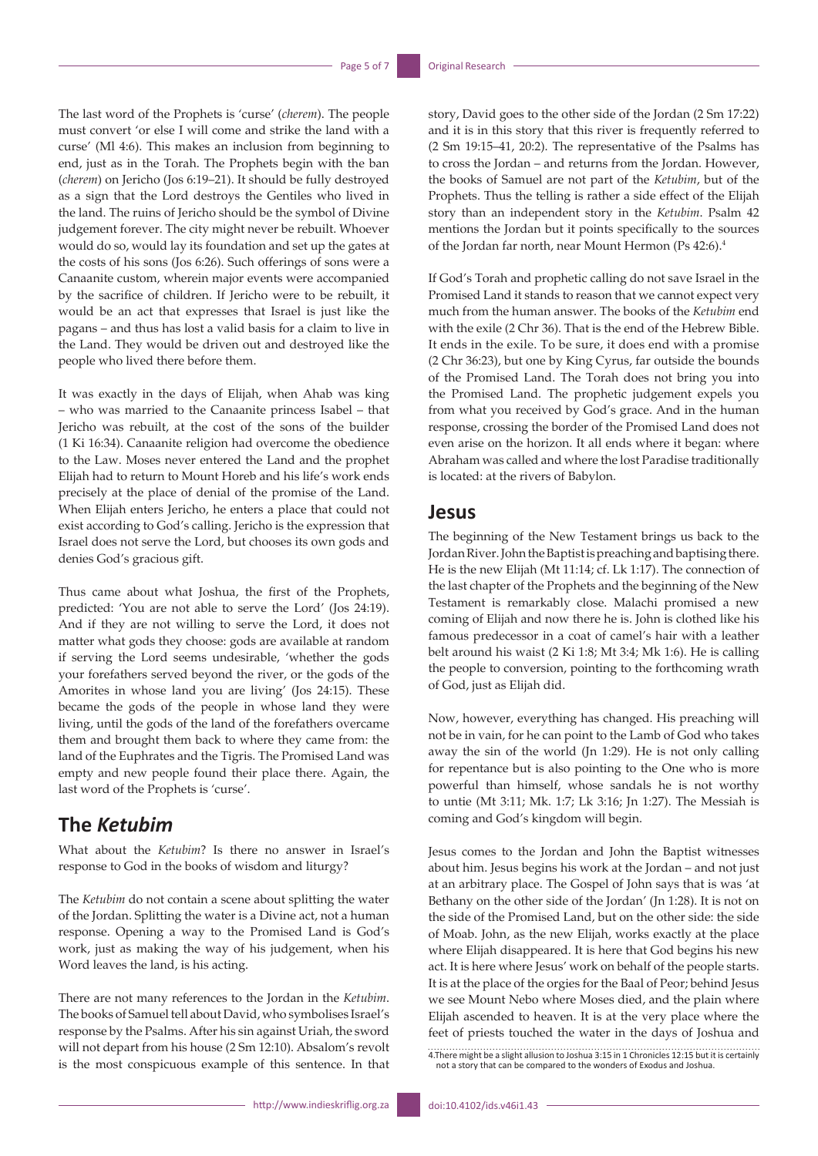The last word of the Prophets is 'curse' (*cherem*). The people must convert 'or else I will come and strike the land with a curse' (Ml 4:6). This makes an inclusion from beginning to end, just as in the Torah. The Prophets begin with the ban (*cherem*) on Jericho (Jos 6:19–21). It should be fully destroyed as a sign that the Lord destroys the Gentiles who lived in the land. The ruins of Jericho should be the symbol of Divine judgement forever. The city might never be rebuilt. Whoever would do so, would lay its foundation and set up the gates at the costs of his sons (Jos 6:26). Such offerings of sons were a Canaanite custom, wherein major events were accompanied by the sacrifice of children. If Jericho were to be rebuilt, it would be an act that expresses that Israel is just like the pagans – and thus has lost a valid basis for a claim to live in the Land. They would be driven out and destroyed like the people who lived there before them.

It was exactly in the days of Elijah, when Ahab was king – who was married to the Canaanite princess Isabel – that Jericho was rebuilt, at the cost of the sons of the builder (1 Ki 16:34). Canaanite religion had overcome the obedience to the Law. Moses never entered the Land and the prophet Elijah had to return to Mount Horeb and his life's work ends precisely at the place of denial of the promise of the Land. When Elijah enters Jericho, he enters a place that could not exist according to God's calling. Jericho is the expression that Israel does not serve the Lord, but chooses its own gods and denies God's gracious gift.

Thus came about what Joshua, the first of the Prophets, predicted: 'You are not able to serve the Lord' (Jos 24:19). And if they are not willing to serve the Lord, it does not matter what gods they choose: gods are available at random if serving the Lord seems undesirable, 'whether the gods your forefathers served beyond the river, or the gods of the Amorites in whose land you are living' (Jos 24:15). These became the gods of the people in whose land they were living, until the gods of the land of the forefathers overcame them and brought them back to where they came from: the land of the Euphrates and the Tigris. The Promised Land was empty and new people found their place there. Again, the last word of the Prophets is 'curse'.

## **The** *Ketubim*

What about the *Ketubim*? Is there no answer in Israel's response to God in the books of wisdom and liturgy?

The *Ketubim* do not contain a scene about splitting the water of the Jordan. Splitting the water is a Divine act, not a human response. Opening a way to the Promised Land is God's work, just as making the way of his judgement, when his Word leaves the land, is his acting.

There are not many references to the Jordan in the *Ketubim*. The books of Samuel tell about David, who symbolises Israel's response by the Psalms. After his sin against Uriah, the sword will not depart from his house (2 Sm 12:10). Absalom's revolt is the most conspicuous example of this sentence. In that

story, David goes to the other side of the Jordan (2 Sm 17:22) and it is in this story that this river is frequently referred to (2 Sm 19:15–41, 20:2). The representative of the Psalms has to cross the Jordan – and returns from the Jordan. However, the books of Samuel are not part of the *Ketubim*, but of the Prophets. Thus the telling is rather a side effect of the Elijah story than an independent story in the *Ketubim*. Psalm 42 mentions the Jordan but it points specifically to the sources of the Jordan far north, near Mount Hermon (Ps 42:6).4

If God's Torah and prophetic calling do not save Israel in the Promised Land it stands to reason that we cannot expect very much from the human answer. The books of the *Ketubim* end with the exile (2 Chr 36). That is the end of the Hebrew Bible. It ends in the exile. To be sure, it does end with a promise (2 Chr 36:23), but one by King Cyrus, far outside the bounds of the Promised Land. The Torah does not bring you into the Promised Land. The prophetic judgement expels you from what you received by God's grace. And in the human response, crossing the border of the Promised Land does not even arise on the horizon. It all ends where it began: where Abraham was called and where the lost Paradise traditionally is located: at the rivers of Babylon.

#### **Jesus**

The beginning of the New Testament brings us back to the Jordan River. John the Baptist is preaching and baptising there. He is the new Elijah (Mt 11:14; cf. Lk 1:17). The connection of the last chapter of the Prophets and the beginning of the New Testament is remarkably close. Malachi promised a new coming of Elijah and now there he is. John is clothed like his famous predecessor in a coat of camel's hair with a leather belt around his waist (2 Ki 1:8; Mt 3:4; Mk 1:6). He is calling the people to conversion, pointing to the forthcoming wrath of God, just as Elijah did.

Now, however, everything has changed. His preaching will not be in vain, for he can point to the Lamb of God who takes away the sin of the world (Jn 1:29). He is not only calling for repentance but is also pointing to the One who is more powerful than himself, whose sandals he is not worthy to untie (Mt 3:11; Mk. 1:7; Lk 3:16; Jn 1:27). The Messiah is coming and God's kingdom will begin.

Jesus comes to the Jordan and John the Baptist witnesses about him. Jesus begins his work at the Jordan – and not just at an arbitrary place. The Gospel of John says that is was 'at Bethany on the other side of the Jordan' (Jn 1:28). It is not on the side of the Promised Land, but on the other side: the side of Moab. John, as the new Elijah, works exactly at the place where Elijah disappeared. It is here that God begins his new act. It is here where Jesus' work on behalf of the people starts. It is at the place of the orgies for the Baal of Peor; behind Jesus we see Mount Nebo where Moses died, and the plain where Elijah ascended to heaven. It is at the very place where the feet of priests touched the water in the days of Joshua and

4.There might be a slight allusion to Joshua 3:15 in 1 Chronicles 12:15 but it is certainly not a story that can be compared to the wonders of Exodus and Joshua.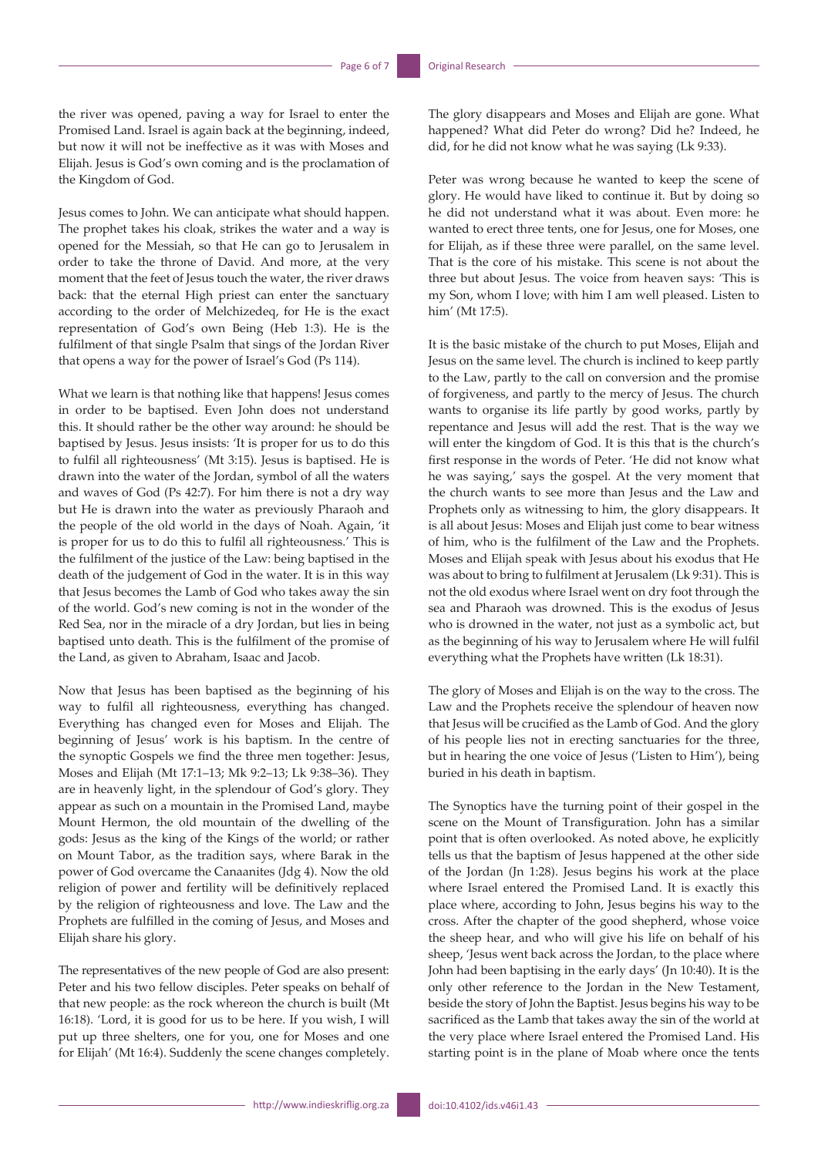the river was opened, paving a way for Israel to enter the Promised Land. Israel is again back at the beginning, indeed, but now it will not be ineffective as it was with Moses and Elijah. Jesus is God's own coming and is the proclamation of the Kingdom of God.

Jesus comes to John. We can anticipate what should happen. The prophet takes his cloak, strikes the water and a way is opened for the Messiah, so that He can go to Jerusalem in order to take the throne of David. And more, at the very moment that the feet of Jesus touch the water, the river draws back: that the eternal High priest can enter the sanctuary according to the order of Melchizedeq, for He is the exact representation of God's own Being (Heb 1:3). He is the fulfilment of that single Psalm that sings of the Jordan River that opens a way for the power of Israel's God (Ps 114).

What we learn is that nothing like that happens! Jesus comes in order to be baptised. Even John does not understand this. It should rather be the other way around: he should be baptised by Jesus. Jesus insists: 'It is proper for us to do this to fulfil all righteousness' (Mt 3:15). Jesus is baptised. He is drawn into the water of the Jordan, symbol of all the waters and waves of God (Ps 42:7). For him there is not a dry way but He is drawn into the water as previously Pharaoh and the people of the old world in the days of Noah. Again, 'it is proper for us to do this to fulfil all righteousness.' This is the fulfilment of the justice of the Law: being baptised in the death of the judgement of God in the water. It is in this way that Jesus becomes the Lamb of God who takes away the sin of the world. God's new coming is not in the wonder of the Red Sea, nor in the miracle of a dry Jordan, but lies in being baptised unto death. This is the fulfilment of the promise of the Land, as given to Abraham, Isaac and Jacob.

Now that Jesus has been baptised as the beginning of his way to fulfil all righteousness, everything has changed. Everything has changed even for Moses and Elijah. The beginning of Jesus' work is his baptism. In the centre of the synoptic Gospels we find the three men together: Jesus, Moses and Elijah (Mt 17:1–13; Mk 9:2–13; Lk 9:38–36). They are in heavenly light, in the splendour of God's glory. They appear as such on a mountain in the Promised Land, maybe Mount Hermon, the old mountain of the dwelling of the gods: Jesus as the king of the Kings of the world; or rather on Mount Tabor, as the tradition says, where Barak in the power of God overcame the Canaanites (Jdg 4). Now the old religion of power and fertility will be definitively replaced by the religion of righteousness and love. The Law and the Prophets are fulfilled in the coming of Jesus, and Moses and Elijah share his glory.

The representatives of the new people of God are also present: Peter and his two fellow disciples. Peter speaks on behalf of that new people: as the rock whereon the church is built (Mt 16:18). 'Lord, it is good for us to be here. If you wish, I will put up three shelters, one for you, one for Moses and one for Elijah' (Mt 16:4). Suddenly the scene changes completely.

The glory disappears and Moses and Elijah are gone. What happened? What did Peter do wrong? Did he? Indeed, he did, for he did not know what he was saying (Lk 9:33).

Peter was wrong because he wanted to keep the scene of glory. He would have liked to continue it. But by doing so he did not understand what it was about. Even more: he wanted to erect three tents, one for Jesus, one for Moses, one for Elijah, as if these three were parallel, on the same level. That is the core of his mistake. This scene is not about the three but about Jesus. The voice from heaven says: 'This is my Son, whom I love; with him I am well pleased. Listen to him' (Mt 17:5).

It is the basic mistake of the church to put Moses, Elijah and Jesus on the same level. The church is inclined to keep partly to the Law, partly to the call on conversion and the promise of forgiveness, and partly to the mercy of Jesus. The church wants to organise its life partly by good works, partly by repentance and Jesus will add the rest. That is the way we will enter the kingdom of God. It is this that is the church's first response in the words of Peter. 'He did not know what he was saying,' says the gospel. At the very moment that the church wants to see more than Jesus and the Law and Prophets only as witnessing to him, the glory disappears. It is all about Jesus: Moses and Elijah just come to bear witness of him, who is the fulfilment of the Law and the Prophets. Moses and Elijah speak with Jesus about his exodus that He was about to bring to fulfilment at Jerusalem (Lk 9:31). This is not the old exodus where Israel went on dry foot through the sea and Pharaoh was drowned. This is the exodus of Jesus who is drowned in the water, not just as a symbolic act, but as the beginning of his way to Jerusalem where He will fulfil everything what the Prophets have written (Lk 18:31).

The glory of Moses and Elijah is on the way to the cross. The Law and the Prophets receive the splendour of heaven now that Jesus will be crucified as the Lamb of God. And the glory of his people lies not in erecting sanctuaries for the three, but in hearing the one voice of Jesus ('Listen to Him'), being buried in his death in baptism.

The Synoptics have the turning point of their gospel in the scene on the Mount of Transfiguration. John has a similar point that is often overlooked. As noted above, he explicitly tells us that the baptism of Jesus happened at the other side of the Jordan (Jn 1:28). Jesus begins his work at the place where Israel entered the Promised Land. It is exactly this place where, according to John, Jesus begins his way to the cross. After the chapter of the good shepherd, whose voice the sheep hear, and who will give his life on behalf of his sheep, 'Jesus went back across the Jordan, to the place where John had been baptising in the early days' (Jn 10:40). It is the only other reference to the Jordan in the New Testament, beside the story of John the Baptist. Jesus begins his way to be sacrificed as the Lamb that takes away the sin of the world at the very place where Israel entered the Promised Land. His starting point is in the plane of Moab where once the tents